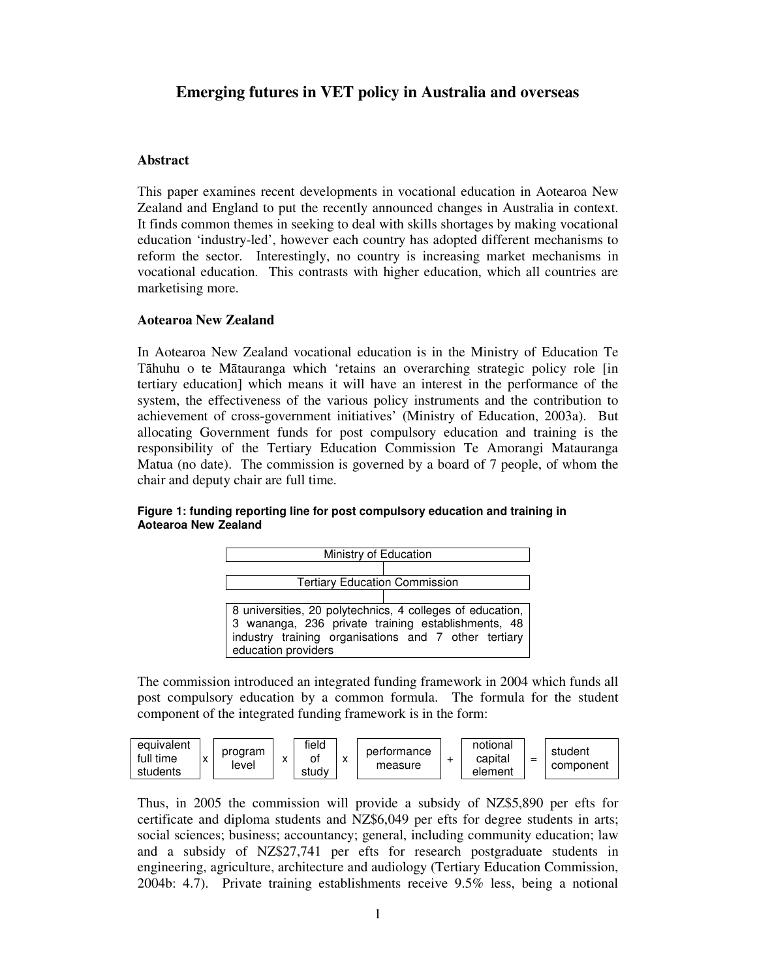# **Emerging futures in VET policy in Australia and overseas**

## **Abstract**

This paper examines recent developments in vocational education in Aotearoa New Zealand and England to put the recently announced changes in Australia in context. It finds common themes in seeking to deal with skills shortages by making vocational education 'industry-led', however each country has adopted different mechanisms to reform the sector. Interestingly, no country is increasing market mechanisms in vocational education. This contrasts with higher education, which all countries are marketising more.

## **Aotearoa New Zealand**

In Aotearoa New Zealand vocational education is in the Ministry of Education Te Tāhuhu o te Mātauranga which 'retains an overarching strategic policy role [in] tertiary education] which means it will have an interest in the performance of the system, the effectiveness of the various policy instruments and the contribution to achievement of cross-government initiatives' (Ministry of Education, 2003a). But allocating Government funds for post compulsory education and training is the responsibility of the Tertiary Education Commission Te Amorangi Matauranga Matua (no date). The commission is governed by a board of 7 people, of whom the chair and deputy chair are full time.

| Ministry of Education                                                                                                                                                                            |  |  |  |  |  |  |  |  |
|--------------------------------------------------------------------------------------------------------------------------------------------------------------------------------------------------|--|--|--|--|--|--|--|--|
|                                                                                                                                                                                                  |  |  |  |  |  |  |  |  |
| <b>Tertiary Education Commission</b>                                                                                                                                                             |  |  |  |  |  |  |  |  |
|                                                                                                                                                                                                  |  |  |  |  |  |  |  |  |
| 8 universities, 20 polytechnics, 4 colleges of education,  <br>3 wananga, 236 private training establishments, 48<br>industry training organisations and 7 other tertiary<br>education providers |  |  |  |  |  |  |  |  |

### **Figure 1: funding reporting line for post compulsory education and training in Aotearoa New Zealand**

The commission introduced an integrated funding framework in 2004 which funds all post compulsory education by a common formula. The formula for the student component of the integrated funding framework is in the form:



Thus, in 2005 the commission will provide a subsidy of NZ\$5,890 per efts for certificate and diploma students and NZ\$6,049 per efts for degree students in arts; social sciences; business; accountancy; general, including community education; law and a subsidy of NZ\$27,741 per efts for research postgraduate students in engineering, agriculture, architecture and audiology (Tertiary Education Commission, 2004b: 4.7). Private training establishments receive 9.5% less, being a notional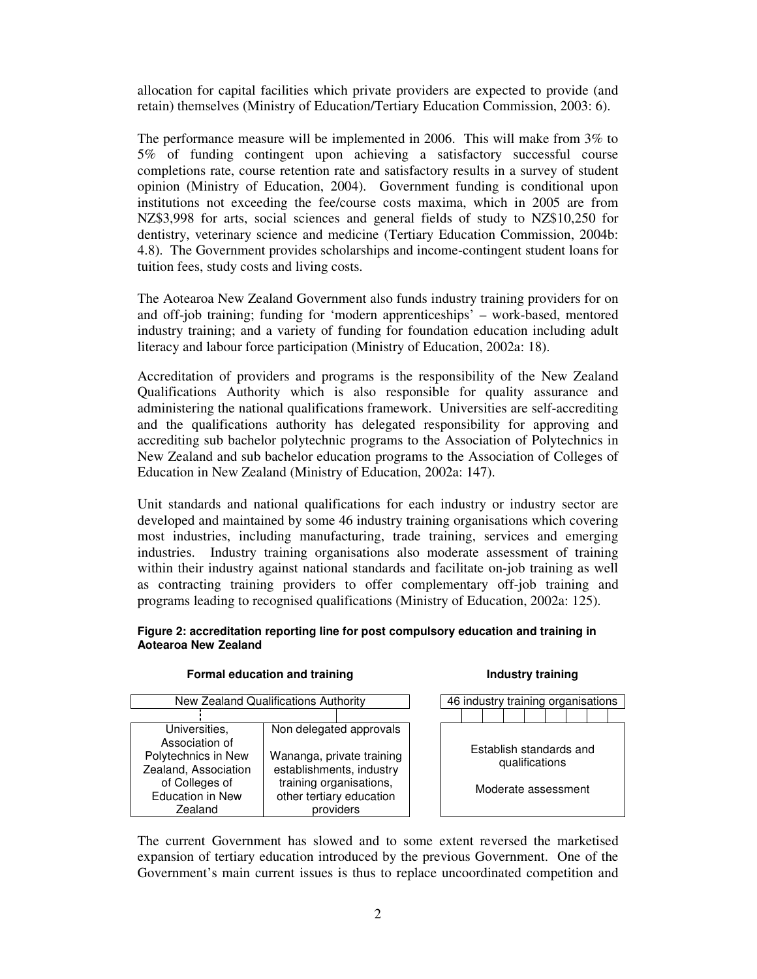allocation for capital facilities which private providers are expected to provide (and retain) themselves (Ministry of Education/Tertiary Education Commission, 2003: 6).

The performance measure will be implemented in 2006. This will make from 3% to 5% of funding contingent upon achieving a satisfactory successful course completions rate, course retention rate and satisfactory results in a survey of student opinion (Ministry of Education, 2004). Government funding is conditional upon institutions not exceeding the fee/course costs maxima, which in 2005 are from NZ\$3,998 for arts, social sciences and general fields of study to NZ\$10,250 for dentistry, veterinary science and medicine (Tertiary Education Commission, 2004b: 4.8). The Government provides scholarships and income-contingent student loans for tuition fees, study costs and living costs.

The Aotearoa New Zealand Government also funds industry training providers for on and off-job training; funding for 'modern apprenticeships' – work-based, mentored industry training; and a variety of funding for foundation education including adult literacy and labour force participation (Ministry of Education, 2002a: 18).

Accreditation of providers and programs is the responsibility of the New Zealand Qualifications Authority which is also responsible for quality assurance and administering the national qualifications framework. Universities are self-accrediting and the qualifications authority has delegated responsibility for approving and accrediting sub bachelor polytechnic programs to the Association of Polytechnics in New Zealand and sub bachelor education programs to the Association of Colleges of Education in New Zealand (Ministry of Education, 2002a: 147).

Unit standards and national qualifications for each industry or industry sector are developed and maintained by some 46 industry training organisations which covering most industries, including manufacturing, trade training, services and emerging industries. Industry training organisations also moderate assessment of training within their industry against national standards and facilitate on-job training as well as contracting training providers to offer complementary off-job training and programs leading to recognised qualifications (Ministry of Education, 2002a: 125).

#### **Figure 2: accreditation reporting line for post compulsory education and training in Aotearoa New Zealand**

| New Zealand Qualifications Authority                                                                                                   |  |                                                                                                                                                      |  | 46 industry training organisations |  |  |                |  |  |                                                |  |  |
|----------------------------------------------------------------------------------------------------------------------------------------|--|------------------------------------------------------------------------------------------------------------------------------------------------------|--|------------------------------------|--|--|----------------|--|--|------------------------------------------------|--|--|
|                                                                                                                                        |  |                                                                                                                                                      |  |                                    |  |  |                |  |  |                                                |  |  |
| Universities,<br>Association of<br>Polytechnics in New<br>Zealand, Association<br>of Colleges of<br><b>Education in New</b><br>Zealand |  | Non delegated approvals<br>Wananga, private training<br>establishments, industry<br>training organisations,<br>other tertiary education<br>providers |  |                                    |  |  | qualifications |  |  | Establish standards and<br>Moderate assessment |  |  |

#### **Formal education and training Industry training**

The current Government has slowed and to some extent reversed the marketised expansion of tertiary education introduced by the previous Government. One of the Government's main current issues is thus to replace uncoordinated competition and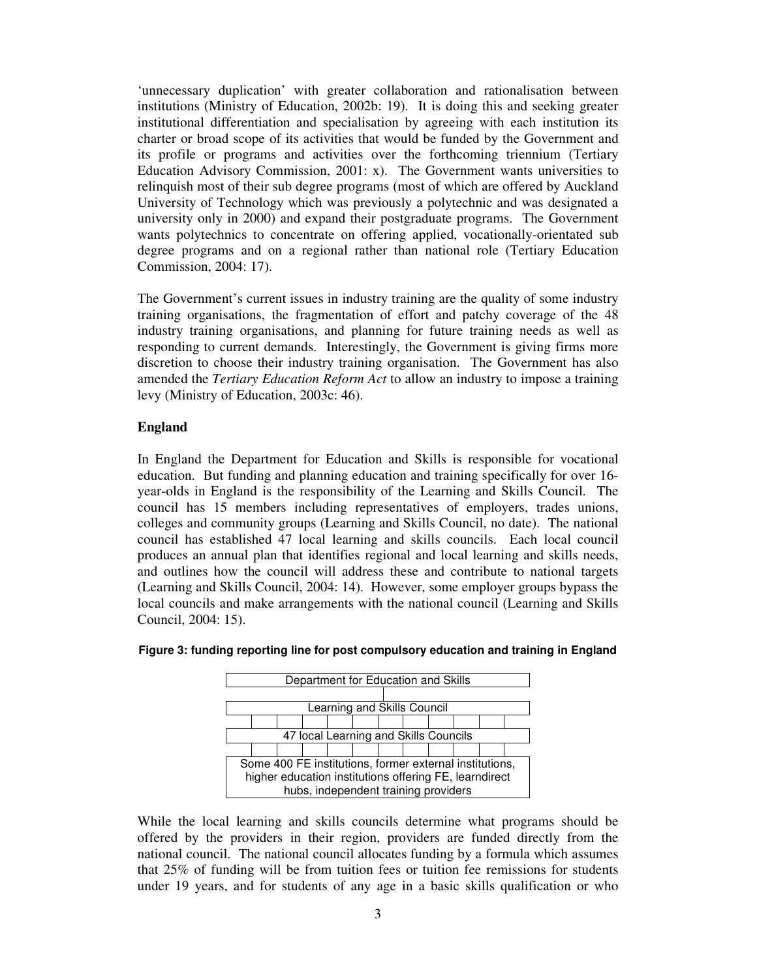'unnecessary duplication' with greater collaboration and rationalisation between institutions (Ministry of Education, 2002b: 19). It is doing this and seeking greater institutional differentiation and specialisation by agreeing with each institution its charter or broad scope of its activities that would be funded by the Government and its profile or programs and activities over the forthcoming triennium (Tertiary Education Advisory Commission, 2001: x). The Government wants universities to relinquish most of their sub degree programs (most of which are offered by Auckland University of Technology which was previously a polytechnic and was designated a university only in 2000) and expand their postgraduate programs. The Government wants polytechnics to concentrate on offering applied, vocationally-orientated sub degree programs and on a regional rather than national role (Tertiary Education Commission, 2004: 17).

The Government's current issues in industry training are the quality of some industry training organisations, the fragmentation of effort and patchy coverage of the 48 industry training organisations, and planning for future training needs as well as responding to current demands. Interestingly, the Government is giving firms more discretion to choose their industry training organisation. The Government has also amended the *Tertiary Education Reform Act* to allow an industry to impose a training levy (Ministry of Education, 2003c: 46).

## **England**

In England the Department for Education and Skills is responsible for vocational education. But funding and planning education and training specifically for over 16 year-olds in England is the responsibility of the Learning and Skills Council. The council has 15 members including representatives of employers, trades unions, colleges and community groups (Learning and Skills Council, no date). The national council has established 47 local learning and skills councils. Each local council produces an annual plan that identifies regional and local learning and skills needs, and outlines how the council will address these and contribute to national targets (Learning and Skills Council, 2004: 14). However, some employer groups bypass the local councils and make arrangements with the national council (Learning and Skills Council, 2004: 15).



#### **Figure 3: funding reporting line for post compulsory education and training in England**

While the local learning and skills councils determine what programs should be offered by the providers in their region, providers are funded directly from the national council. The national council allocates funding by a formula which assumes that 25% of funding will be from tuition fees or tuition fee remissions for students under 19 years, and for students of any age in a basic skills qualification or who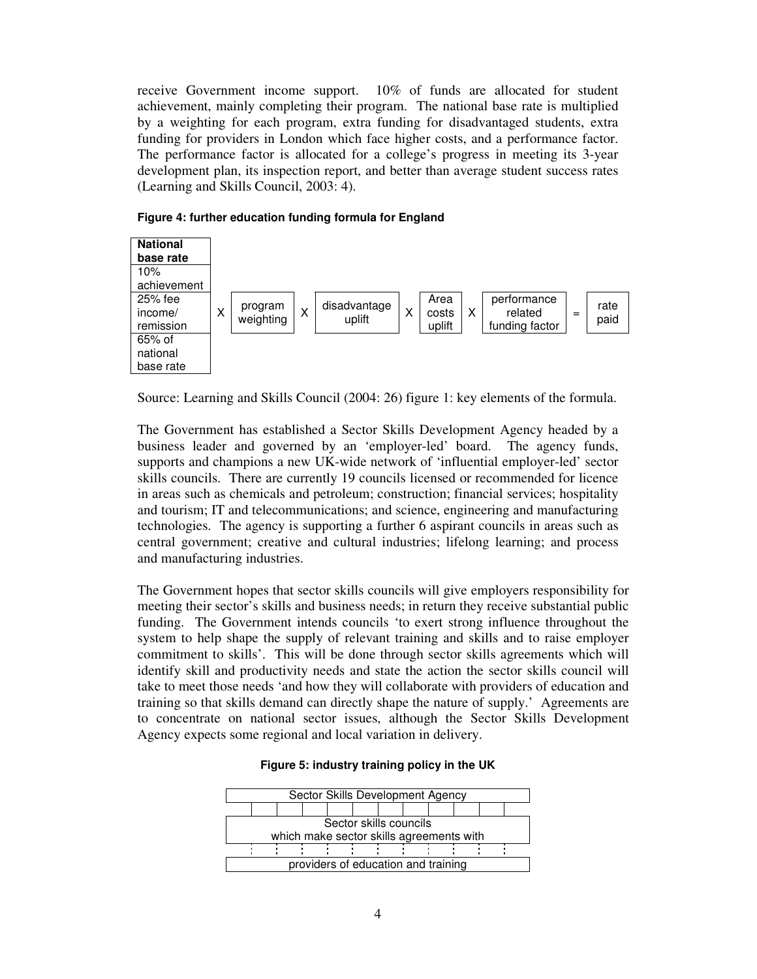receive Government income support. 10% of funds are allocated for student achievement, mainly completing their program. The national base rate is multiplied by a weighting for each program, extra funding for disadvantaged students, extra funding for providers in London which face higher costs, and a performance factor. The performance factor is allocated for a college's progress in meeting its 3-year development plan, its inspection report, and better than average student success rates (Learning and Skills Council, 2003: 4).



**Figure 4: further education funding formula for England**

Source: Learning and Skills Council (2004: 26) figure 1: key elements of the formula.

The Government has established a Sector Skills Development Agency headed by a business leader and governed by an 'employer-led' board. The agency funds, supports and champions a new UK-wide network of 'influential employer-led' sector skills councils. There are currently 19 councils licensed or recommended for licence in areas such as chemicals and petroleum; construction; financial services; hospitality and tourism; IT and telecommunications; and science, engineering and manufacturing technologies. The agency is supporting a further 6 aspirant councils in areas such as central government; creative and cultural industries; lifelong learning; and process and manufacturing industries.

The Government hopes that sector skills councils will give employers responsibility for meeting their sector's skills and business needs; in return they receive substantial public funding. The Government intends councils 'to exert strong influence throughout the system to help shape the supply of relevant training and skills and to raise employer commitment to skills'. This will be done through sector skills agreements which will identify skill and productivity needs and state the action the sector skills council will take to meet those needs 'and how they will collaborate with providers of education and training so that skills demand can directly shape the nature of supply.' Agreements are to concentrate on national sector issues, although the Sector Skills Development Agency expects some regional and local variation in delivery.

| Sector Skills Development Agency         |  |  |  |                                     |  |  |  |  |  |  |
|------------------------------------------|--|--|--|-------------------------------------|--|--|--|--|--|--|
|                                          |  |  |  |                                     |  |  |  |  |  |  |
| Sector skills councils                   |  |  |  |                                     |  |  |  |  |  |  |
| which make sector skills agreements with |  |  |  |                                     |  |  |  |  |  |  |
|                                          |  |  |  |                                     |  |  |  |  |  |  |
|                                          |  |  |  | providers of education and training |  |  |  |  |  |  |

#### **Figure 5: industry training policy in the UK**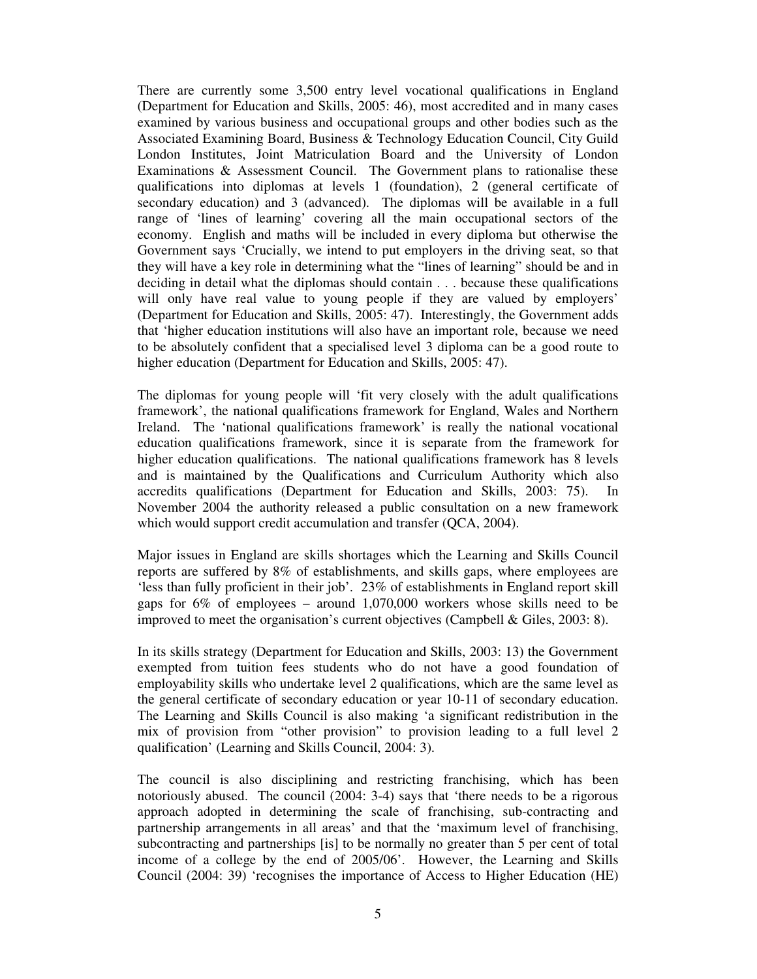There are currently some 3,500 entry level vocational qualifications in England (Department for Education and Skills, 2005: 46), most accredited and in many cases examined by various business and occupational groups and other bodies such as the Associated Examining Board, Business & Technology Education Council, City Guild London Institutes, Joint Matriculation Board and the University of London Examinations & Assessment Council. The Government plans to rationalise these qualifications into diplomas at levels 1 (foundation), 2 (general certificate of secondary education) and 3 (advanced). The diplomas will be available in a full range of 'lines of learning' covering all the main occupational sectors of the economy. English and maths will be included in every diploma but otherwise the Government says 'Crucially, we intend to put employers in the driving seat, so that they will have a key role in determining what the "lines of learning" should be and in deciding in detail what the diplomas should contain . . . because these qualifications will only have real value to young people if they are valued by employers' (Department for Education and Skills, 2005: 47). Interestingly, the Government adds that 'higher education institutions will also have an important role, because we need to be absolutely confident that a specialised level 3 diploma can be a good route to higher education (Department for Education and Skills, 2005: 47).

The diplomas for young people will 'fit very closely with the adult qualifications framework', the national qualifications framework for England, Wales and Northern Ireland. The 'national qualifications framework' is really the national vocational education qualifications framework, since it is separate from the framework for higher education qualifications. The national qualifications framework has 8 levels and is maintained by the Qualifications and Curriculum Authority which also accredits qualifications (Department for Education and Skills, 2003: 75). In November 2004 the authority released a public consultation on a new framework which would support credit accumulation and transfer (QCA, 2004).

Major issues in England are skills shortages which the Learning and Skills Council reports are suffered by 8% of establishments, and skills gaps, where employees are 'less than fully proficient in their job'. 23% of establishments in England report skill gaps for 6% of employees – around 1,070,000 workers whose skills need to be improved to meet the organisation's current objectives (Campbell & Giles, 2003: 8).

In its skills strategy (Department for Education and Skills, 2003: 13) the Government exempted from tuition fees students who do not have a good foundation of employability skills who undertake level 2 qualifications, which are the same level as the general certificate of secondary education or year 10-11 of secondary education. The Learning and Skills Council is also making 'a significant redistribution in the mix of provision from "other provision" to provision leading to a full level 2 qualification' (Learning and Skills Council, 2004: 3).

The council is also disciplining and restricting franchising, which has been notoriously abused. The council (2004: 3-4) says that 'there needs to be a rigorous approach adopted in determining the scale of franchising, sub-contracting and partnership arrangements in all areas' and that the 'maximum level of franchising, subcontracting and partnerships [is] to be normally no greater than 5 per cent of total income of a college by the end of 2005/06'. However, the Learning and Skills Council (2004: 39) 'recognises the importance of Access to Higher Education (HE)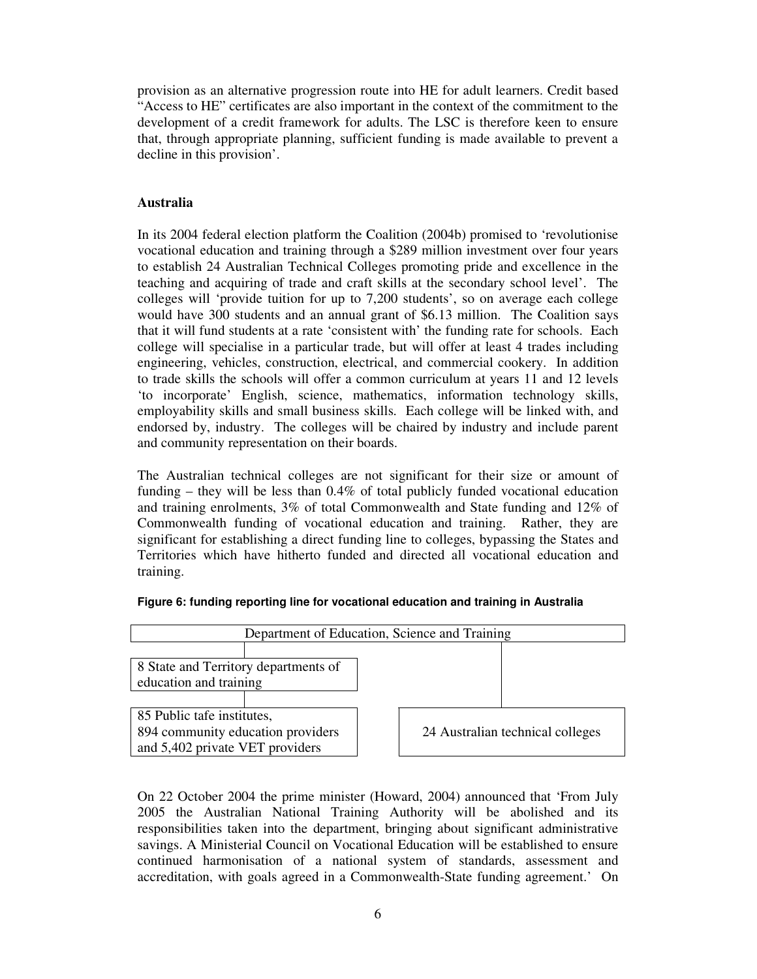provision as an alternative progression route into HE for adult learners. Credit based "Access to HE" certificates are also important in the context of the commitment to the development of a credit framework for adults. The LSC is therefore keen to ensure that, through appropriate planning, sufficient funding is made available to prevent a decline in this provision'.

## **Australia**

In its 2004 federal election platform the Coalition (2004b) promised to 'revolutionise vocational education and training through a \$289 million investment over four years to establish 24 Australian Technical Colleges promoting pride and excellence in the teaching and acquiring of trade and craft skills at the secondary school level'. The colleges will 'provide tuition for up to 7,200 students', so on average each college would have 300 students and an annual grant of \$6.13 million. The Coalition says that it will fund students at a rate 'consistent with' the funding rate for schools. Each college will specialise in a particular trade, but will offer at least 4 trades including engineering, vehicles, construction, electrical, and commercial cookery. In addition to trade skills the schools will offer a common curriculum at years 11 and 12 levels 'to incorporate' English, science, mathematics, information technology skills, employability skills and small business skills. Each college will be linked with, and endorsed by, industry. The colleges will be chaired by industry and include parent and community representation on their boards.

The Australian technical colleges are not significant for their size or amount of funding – they will be less than 0.4% of total publicly funded vocational education and training enrolments, 3% of total Commonwealth and State funding and 12% of Commonwealth funding of vocational education and training. Rather, they are significant for establishing a direct funding line to colleges, bypassing the States and Territories which have hitherto funded and directed all vocational education and training.



### **Figure 6: funding reporting line for vocational education and training in Australia**

On 22 October 2004 the prime minister (Howard, 2004) announced that 'From July 2005 the Australian National Training Authority will be abolished and its responsibilities taken into the department, bringing about significant administrative savings. A Ministerial Council on Vocational Education will be established to ensure continued harmonisation of a national system of standards, assessment and accreditation, with goals agreed in a Commonwealth-State funding agreement.' On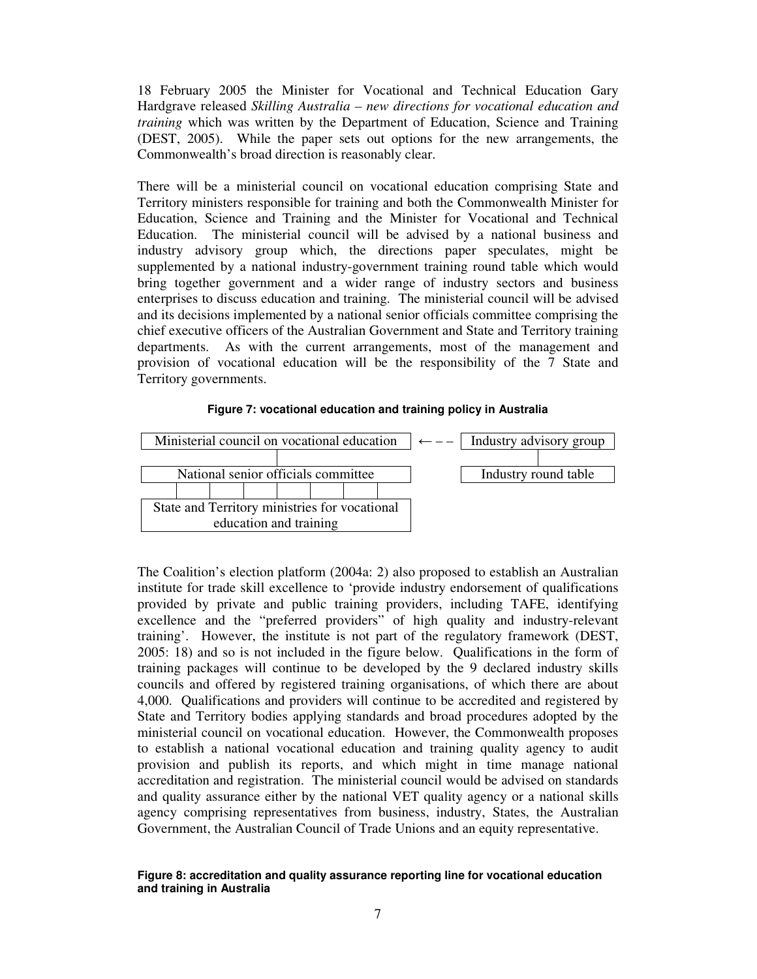18 February 2005 the Minister for Vocational and Technical Education Gary Hardgrave released *Skilling Australia – new directions for vocational education and training* which was written by the Department of Education, Science and Training (DEST, 2005). While the paper sets out options for the new arrangements, the Commonwealth's broad direction is reasonably clear.

There will be a ministerial council on vocational education comprising State and Territory ministers responsible for training and both the Commonwealth Minister for Education, Science and Training and the Minister for Vocational and Technical Education. The ministerial council will be advised by a national business and industry advisory group which, the directions paper speculates, might be supplemented by a national industry-government training round table which would bring together government and a wider range of industry sectors and business enterprises to discuss education and training. The ministerial council will be advised and its decisions implemented by a national senior officials committee comprising the chief executive officers of the Australian Government and State and Territory training departments. As with the current arrangements, most of the management and provision of vocational education will be the responsibility of the 7 State and Territory governments.





The Coalition's election platform (2004a: 2) also proposed to establish an Australian institute for trade skill excellence to 'provide industry endorsement of qualifications provided by private and public training providers, including TAFE, identifying excellence and the "preferred providers" of high quality and industry-relevant training'. However, the institute is not part of the regulatory framework (DEST, 2005: 18) and so is not included in the figure below. Qualifications in the form of training packages will continue to be developed by the 9 declared industry skills councils and offered by registered training organisations, of which there are about 4,000. Qualifications and providers will continue to be accredited and registered by State and Territory bodies applying standards and broad procedures adopted by the ministerial council on vocational education. However, the Commonwealth proposes to establish a national vocational education and training quality agency to audit provision and publish its reports, and which might in time manage national accreditation and registration. The ministerial council would be advised on standards and quality assurance either by the national VET quality agency or a national skills agency comprising representatives from business, industry, States, the Australian Government, the Australian Council of Trade Unions and an equity representative.

#### **Figure 8: accreditation and quality assurance reporting line for vocational education and training in Australia**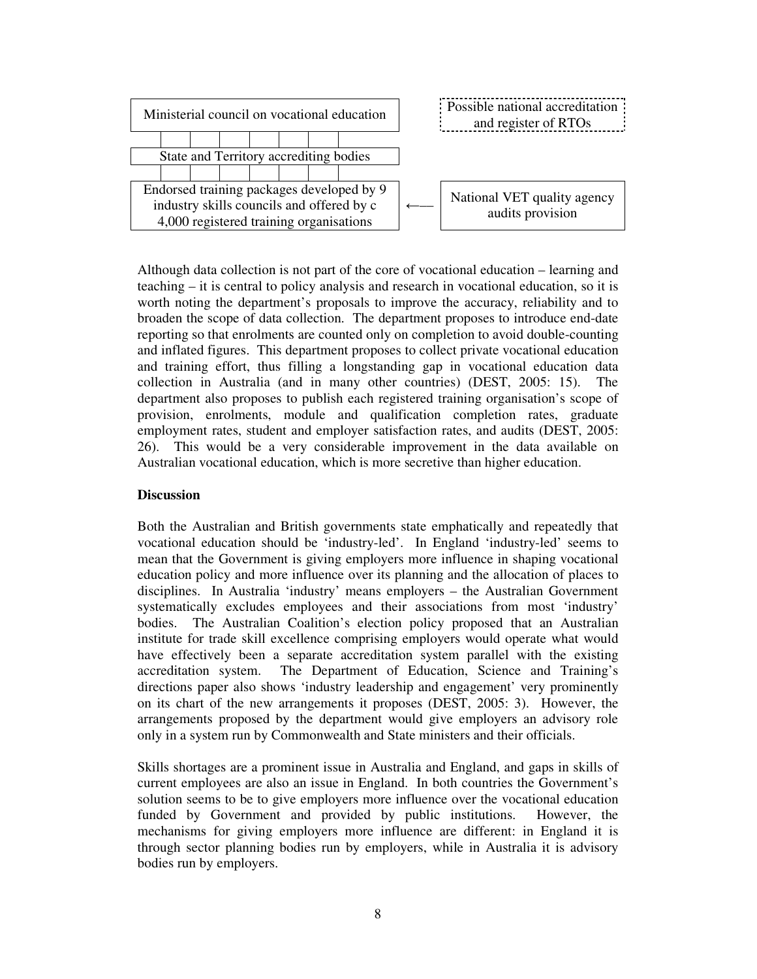

Although data collection is not part of the core of vocational education – learning and teaching – it is central to policy analysis and research in vocational education, so it is worth noting the department's proposals to improve the accuracy, reliability and to broaden the scope of data collection. The department proposes to introduce end-date reporting so that enrolments are counted only on completion to avoid double-counting and inflated figures. This department proposes to collect private vocational education and training effort, thus filling a longstanding gap in vocational education data collection in Australia (and in many other countries) (DEST, 2005: 15). The department also proposes to publish each registered training organisation's scope of provision, enrolments, module and qualification completion rates, graduate employment rates, student and employer satisfaction rates, and audits (DEST, 2005: 26). This would be a very considerable improvement in the data available on Australian vocational education, which is more secretive than higher education.

### **Discussion**

Both the Australian and British governments state emphatically and repeatedly that vocational education should be 'industry-led'. In England 'industry-led' seems to mean that the Government is giving employers more influence in shaping vocational education policy and more influence over its planning and the allocation of places to disciplines. In Australia 'industry' means employers – the Australian Government systematically excludes employees and their associations from most 'industry' bodies. The Australian Coalition's election policy proposed that an Australian institute for trade skill excellence comprising employers would operate what would have effectively been a separate accreditation system parallel with the existing accreditation system. The Department of Education, Science and Training's directions paper also shows 'industry leadership and engagement' very prominently on its chart of the new arrangements it proposes (DEST, 2005: 3). However, the arrangements proposed by the department would give employers an advisory role only in a system run by Commonwealth and State ministers and their officials.

Skills shortages are a prominent issue in Australia and England, and gaps in skills of current employees are also an issue in England. In both countries the Government's solution seems to be to give employers more influence over the vocational education funded by Government and provided by public institutions. However, the mechanisms for giving employers more influence are different: in England it is through sector planning bodies run by employers, while in Australia it is advisory bodies run by employers.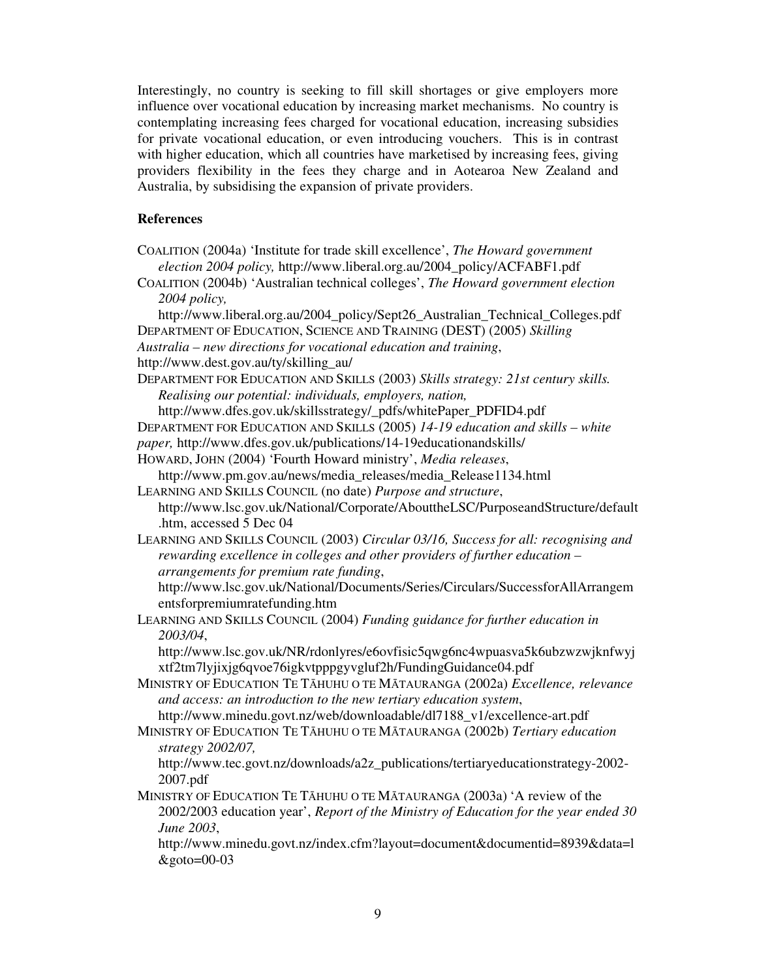Interestingly, no country is seeking to fill skill shortages or give employers more influence over vocational education by increasing market mechanisms. No country is contemplating increasing fees charged for vocational education, increasing subsidies for private vocational education, or even introducing vouchers. This is in contrast with higher education, which all countries have marketised by increasing fees, giving providers flexibility in the fees they charge and in Aotearoa New Zealand and Australia, by subsidising the expansion of private providers.

## **References**

- COALITION (2004a) 'Institute for trade skill excellence', *The Howard government election 2004 policy,* http://www.liberal.org.au/2004\_policy/ACFABF1.pdf
- COALITION (2004b) 'Australian technical colleges', *The Howard government election 2004 policy,*

http://www.liberal.org.au/2004\_policy/Sept26\_Australian\_Technical\_Colleges.pdf DEPARTMENT OF EDUCATION, SCIENCE AND TRAINING (DEST) (2005) *Skilling Australia – new directions for vocational education and training*,

http://www.dest.gov.au/ty/skilling\_au/

DEPARTMENT FOR EDUCATION AND SKILLS (2003) *Skills strategy: 21st century skills. Realising our potential: individuals, employers, nation,*

http://www.dfes.gov.uk/skillsstrategy/\_pdfs/whitePaper\_PDFID4.pdf

DEPARTMENT FOR EDUCATION AND SKILLS (2005) *14-19 education and skills – white paper,* http://www.dfes.gov.uk/publications/14-19educationandskills/

HOWARD, JOHN (2004) 'Fourth Howard ministry', *Media releases*,

http://www.pm.gov.au/news/media\_releases/media\_Release1134.html

- LEARNING AND SKILLS COUNCIL (no date) *Purpose and structure*, http://www.lsc.gov.uk/National/Corporate/AbouttheLSC/PurposeandStructure/default .htm, accessed 5 Dec 04
- LEARNING AND SKILLS COUNCIL (2003) *Circular 03/16, Success for all: recognising and rewarding excellence in colleges and other providers of further education – arrangements for premium rate funding*,

http://www.lsc.gov.uk/National/Documents/Series/Circulars/SuccessforAllArrangem entsforpremiumratefunding.htm

LEARNING AND SKILLS COUNCIL (2004) *Funding guidance for further education in 2003/04*,

http://www.lsc.gov.uk/NR/rdonlyres/e6ovfisic5qwg6nc4wpuasva5k6ubzwzwjknfwyj xtf2tm7lyjixjg6qvoe76igkvtpppgyvgluf2h/FundingGuidance04.pdf

- MINISTRY OF EDUCATION TE THUHU O TE MTAURANGA (2002a) *Excellence, relevance and access: an introduction to the new tertiary education system*, http://www.minedu.govt.nz/web/downloadable/dl7188\_v1/excellence-art.pdf
- MINISTRY OF EDUCATION TE THUHU O TE MTAURANGA (2002b) *Tertiary education strategy 2002/07,*

http://www.tec.govt.nz/downloads/a2z\_publications/tertiaryeducationstrategy-2002- 2007.pdf

MINISTRY OF EDUCATION TE TAHUHU O TE MATAURANGA (2003a) 'A review of the 2002/2003 education year', *Report of the Ministry of Education for the year ended 30 June 2003*,

http://www.minedu.govt.nz/index.cfm?layout=document&documentid=8939&data=l  $&$ goto=00-03